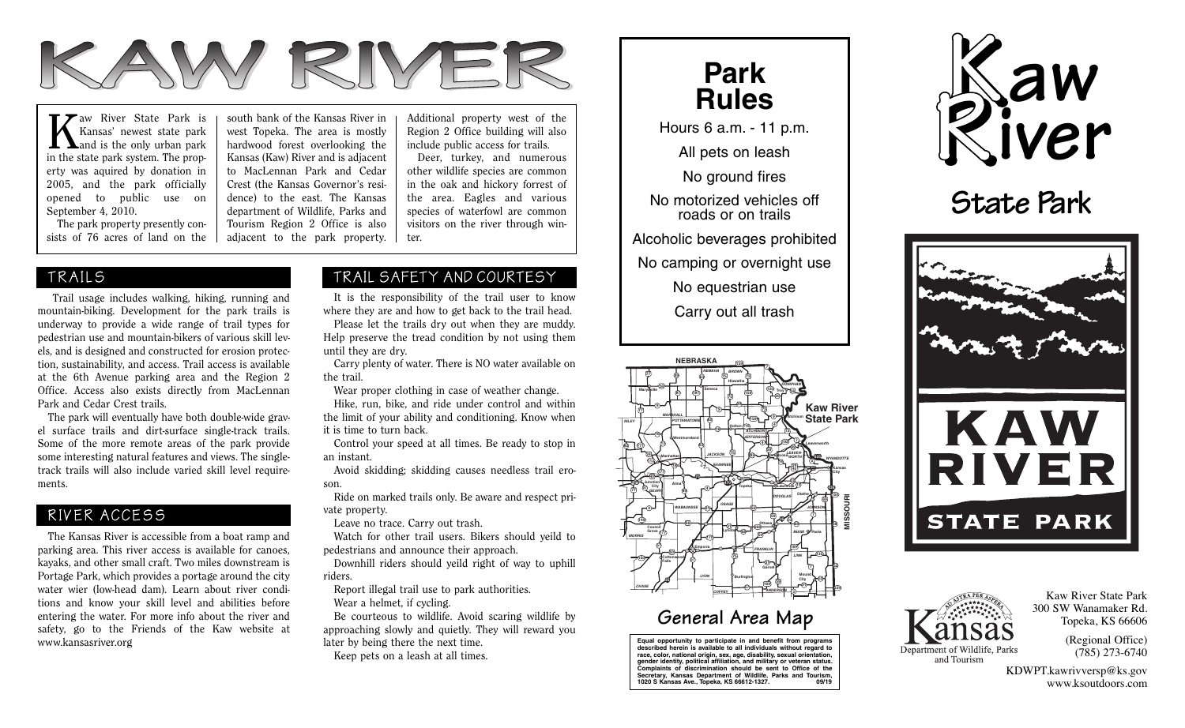

Kaw River State Park is<br>Kansas' newest state park<br>in the otate park quatern The prior Kansas' newest state park in the state park system. The property was aquired by donation in 2005, and the park officially opened to public use on September 4, 2010.

 The park property presently consists of 76 acres of land on the

south bank of the Kansas River in west Topeka. The area is mostly hardwood forest overlooking the Kansas (Kaw) River and is adjacent to MacLennan Park and Cedar Crest (the Kansas Governor's residence) to the east. The Kansas department of Wildlife, Parks and Tourism Region 2 Office is also adjacent to the park property. Additional property west of the Region 2 Office building will also include public access for trails.

 Deer, turkey, and numerous other wildlife species are common in the oak and hickory forrest of the area. Eagles and various species of waterfowl are common visitors on the river through winter.

 Trail usage includes walking, hiking, running and mountain-biking. Development for the park trails is underway to provide a wide range of trail types for pedestrian use and mountain-bikers of various skill levels, and is designed and constructed for erosion protection, sustainability, and access. Trail access is available at the 6th Avenue parking area and the Region 2 Office. Access also exists directly from MacLennan Park and Cedar Crest trails.

 The park will eventually have both double-wide gravel surface trails and dirt-surface single-track trails. Some of the more remote areas of the park provide some interesting natural features and views. The singletrack trails will also include varied skill level requirements.

#### RIVER ACCESS

 The Kansas River is accessible from a boat ramp and parking area. This river access is available for canoes, kayaks, and other small craft. Two miles downstream is Portage Park, which provides a portage around the city water wier (low-head dam). Learn about river conditions and know your skill level and abilities before entering the water. For more info about the river and safety, go to the Friends of the Kaw website at www.kansasriver.org

### TRAILS TRAIL SAFETY AND COURTESY

 It is the responsibility of the trail user to know where they are and how to get back to the trail head.

 Please let the trails dry out when they are muddy. Help preserve the tread condition by not using them until they are dry.

 Carry plenty of water. There is NO water available on the trail.

Wear proper clothing in case of weather change.

 Hike, run, bike, and ride under control and within the limit of your ability and conditioning. Know when it is time to turn back.

 Control your speed at all times. Be ready to stop in an instant.

 Avoid skidding; skidding causes needless trail eroson.

 Ride on marked trails only. Be aware and respect private property.

Leave no trace. Carry out trash.

 Watch for other trail users. Bikers should yeild to pedestrians and announce their approach.

 Downhill riders should yeild right of way to uphill riders.

 Report illegal trail use to park authorities. Wear a helmet, if cycling.

 Be courteous to wildlife. Avoid scaring wildlife by approaching slowly and quietly. They will reward you later by being there the next time. Keep pets on a leash at all times.



Hours 6 a.m. - 11 p.m.

All pets on leash

No ground fires

No motorized vehicles off roads or on trails

Alcoholic beverages prohibited

No camping or overnight use

No equestrian use

Carry out all trash



## **General Area Map**

**Equal opportunity to participate in and benefit from programs described herein is available to all individuals without regard to race, color, national origin, sex, age, disability, sexual orientation, gender identity, political affiliation, and military or veteran status. Complaints of discrimination should be sent to Office of the Secretary, Kansas Department of Wildlife, Parks and Tourism, 1020 S Kansas Ave., Topeka, KS 66612-1327. 09/19**



# **State Park**





Kaw River State Park 300 SW Wanamaker Rd. Topeka, KS 66606

> (Regional Office) (785) 273-6740

KDWPT.kawrivversp@ks.gov www.ksoutdoors.com